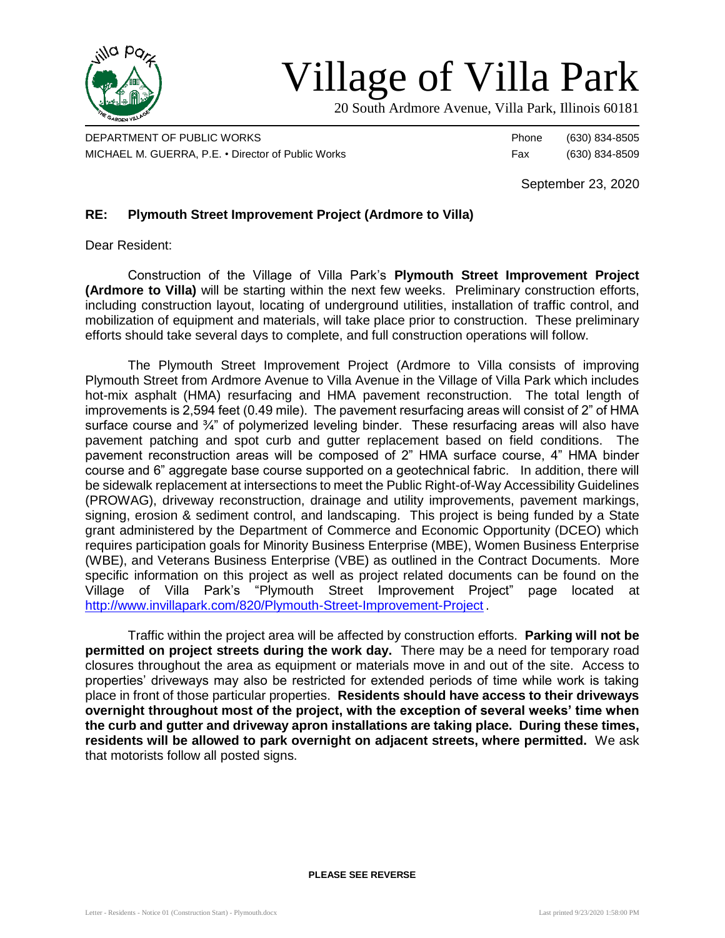

## Village of Villa Park

20 South Ardmore Avenue, Villa Park, Illinois 60181

DEPARTMENT OF PUBLIC WORKS **Phone** (630) 834-8505 MICHAEL M. GUERRA, P.E. • Director of Public Works Fax (630) 834-8509

September 23, 2020

## **RE: Plymouth Street Improvement Project (Ardmore to Villa)**

Dear Resident:

Construction of the Village of Villa Park's **Plymouth Street Improvement Project (Ardmore to Villa)** will be starting within the next few weeks. Preliminary construction efforts, including construction layout, locating of underground utilities, installation of traffic control, and mobilization of equipment and materials, will take place prior to construction. These preliminary efforts should take several days to complete, and full construction operations will follow.

The Plymouth Street Improvement Project (Ardmore to Villa consists of improving Plymouth Street from Ardmore Avenue to Villa Avenue in the Village of Villa Park which includes hot-mix asphalt (HMA) resurfacing and HMA pavement reconstruction. The total length of improvements is 2,594 feet (0.49 mile). The pavement resurfacing areas will consist of 2" of HMA surface course and 3/4" of polymerized leveling binder. These resurfacing areas will also have pavement patching and spot curb and gutter replacement based on field conditions. The pavement reconstruction areas will be composed of 2" HMA surface course, 4" HMA binder course and 6" aggregate base course supported on a geotechnical fabric. In addition, there will be sidewalk replacement at intersections to meet the Public Right-of-Way Accessibility Guidelines (PROWAG), driveway reconstruction, drainage and utility improvements, pavement markings, signing, erosion & sediment control, and landscaping. This project is being funded by a State grant administered by the Department of Commerce and Economic Opportunity (DCEO) which requires participation goals for Minority Business Enterprise (MBE), Women Business Enterprise (WBE), and Veterans Business Enterprise (VBE) as outlined in the Contract Documents. More specific information on this project as well as project related documents can be found on the Village of Villa Park's "Plymouth Street Improvement Project" page located at <http://www.invillapark.com/820/Plymouth-Street-Improvement-Project> .

Traffic within the project area will be affected by construction efforts. **Parking will not be permitted on project streets during the work day.** There may be a need for temporary road closures throughout the area as equipment or materials move in and out of the site. Access to properties' driveways may also be restricted for extended periods of time while work is taking place in front of those particular properties. **Residents should have access to their driveways overnight throughout most of the project, with the exception of several weeks' time when the curb and gutter and driveway apron installations are taking place. During these times, residents will be allowed to park overnight on adjacent streets, where permitted.** We ask that motorists follow all posted signs.

**PLEASE SEE REVERSE**